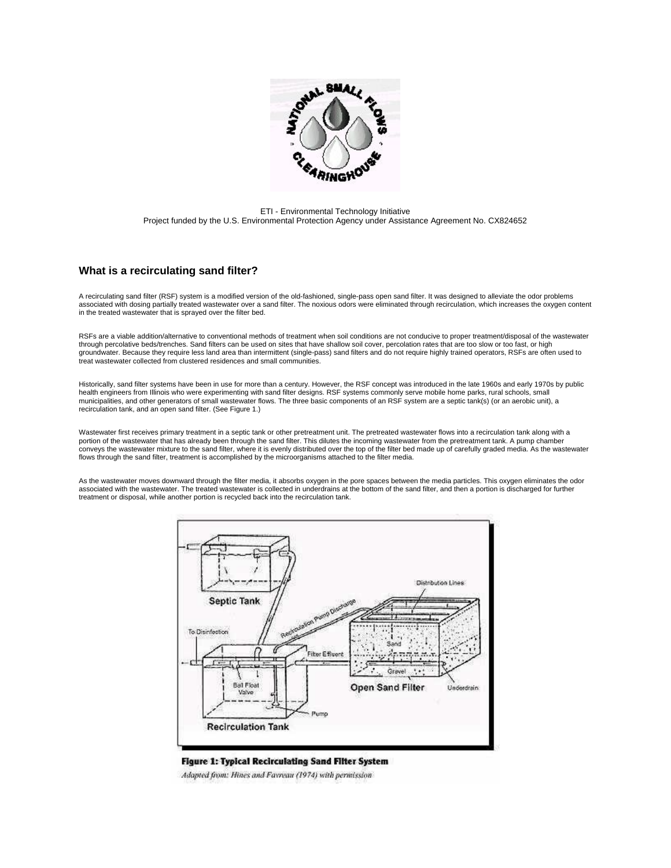

ETI - Environmental Technology Initiative Project funded by the U.S. Environmental Protection Agency under Assistance Agreement No. CX824652

### **What is a recirculating sand filter?**

A recirculating sand filter (RSF) system is a modified version of the old-fashioned, single-pass open sand filter. It was designed to alleviate the odor problems associated with dosing partially treated wastewater over a sand filter. The noxious odors were eliminated through recirculation, which increases the oxygen content in the treated wastewater that is sprayed over the filter bed.

RSFs are a viable addition/alternative to conventional methods of treatment when soil conditions are not conducive to proper treatment/disposal of the wastewater through percolative beds/trenches. Sand filters can be used on sites that have shallow soil cover, percolation rates that are too slow or too fast, or high groundwater. Because they require less land area than intermittent (single-pass) sand filters and do not require highly trained operators, RSFs are often used to treat wastewater collected from clustered residences and small communities.

Historically, sand filter systems have been in use for more than a century. However, the RSF concept was introduced in the late 1960s and early 1970s by public health engineers from Illinois who were experimenting with sand filter designs. RSF systems commonly serve mobile home parks, rural schools, small municipalities, and other generators of small wastewater flows. The three basic components of an RSF system are a septic tank(s) (or an aerobic unit), a recirculation tank, and an open sand filter. (See Figure 1.)

Wastewater first receives primary treatment in a septic tank or other pretreatment unit. The pretreated wastewater flows into a recirculation tank along with a portion of the wastewater that has already been through the sand filter. This dilutes the incoming wastewater from the pretreatment tank. A pump chamber conveys the wastewater mixture to the sand filter, where it is evenly distributed over the top of the filter bed made up of carefully graded media. As the wastewater flows through the sand filter, treatment is accomplished by the microorganisms attached to the filter media.

As the wastewater moves downward through the filter media, it absorbs oxygen in the pore spaces between the media particles. This oxygen eliminates the odor associated with the wastewater. The treated wastewater is collected in underdrains at the bottom of the sand filter, and then a portion is discharged for further treatment or disposal, while another portion is recycled back into the recirculation tank.



**Figure 1: Typical Recirculating Sand Filter System** Adapted from: Hines and Favreau (1974) with permission